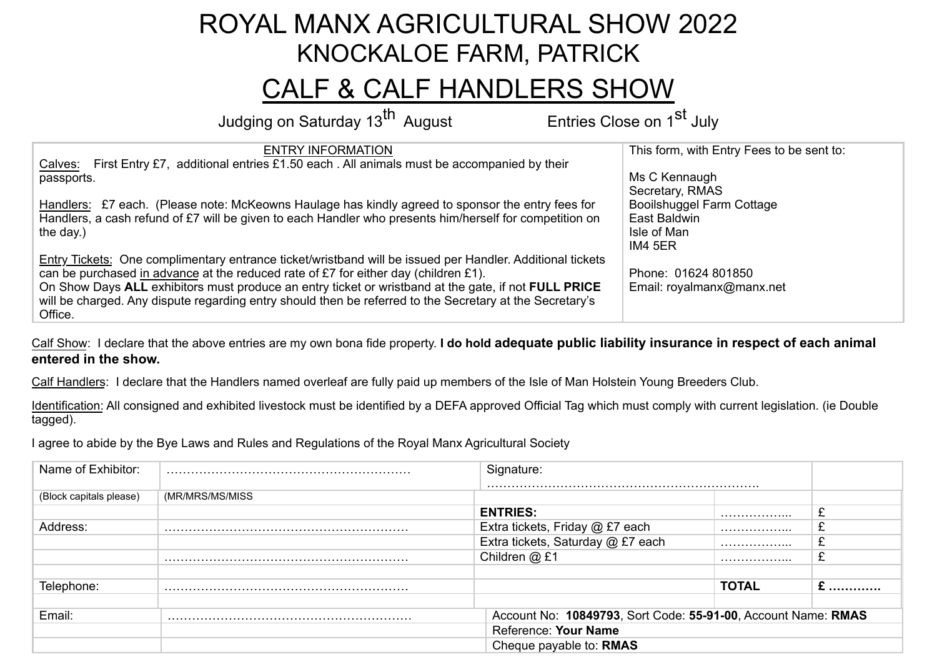## ROYAL MANX AGRICULTURAL SHOW 2022 KNOCKALOE FARM, PATRICK

## CALF & CALF HANDLERS SHOW

Judging on Saturday 13<sup>th</sup> August Entries Close on 1<sup>st</sup> July

| <b>ENTRY INFORMATION</b>                                                                                  | This form, with Entry Fees to be sent to: |
|-----------------------------------------------------------------------------------------------------------|-------------------------------------------|
| First Entry £7, additional entries £1.50 each. All animals must be accompanied by their<br>Calves:        |                                           |
| passports.                                                                                                | Ms C Kennaugh                             |
|                                                                                                           | Secretary, RMAS                           |
| Handlers: £7 each. (Please note: McKeowns Haulage has kindly agreed to sponsor the entry fees for         | Booilshuggel Farm Cottage                 |
| Handlers, a cash refund of £7 will be given to each Handler who presents him/herself for competition on   | East Baldwin                              |
| the day.)                                                                                                 | Isle of Man                               |
|                                                                                                           | IM4 5ER                                   |
| Entry Tickets: One complimentary entrance ticket/wristband will be issued per Handler. Additional tickets |                                           |
| can be purchased in advance at the reduced rate of £7 for either day (children £1).                       | Phone: 01624 801850                       |
| On Show Days ALL exhibitors must produce an entry ticket or wristband at the gate, if not FULL PRICE      | Email: royalmanx@manx.net                 |
| will be charged. Any dispute regarding entry should then be referred to the Secretary at the Secretary's  |                                           |
| Office.                                                                                                   |                                           |

Calf Show: I declare that the above entries are my own bona fide property. **I do hold adequate public liability insurance in respect of each animal entered in the show.**

Calf Handlers: I declare that the Handlers named overleaf are fully paid up members of the Isle of Man Holstein Young Breeders Club.

Identification: All consigned and exhibited livestock must be identified by a DEFA approved Official Tag which must comply with current legislation. (ie Double tagged).

I agree to abide by the Bye Laws and Rules and Regulations of the Royal Manx Agricultural Society

| Name of Exhibitor:      |                 | Signature:                        |                                                               |  |  |  |
|-------------------------|-----------------|-----------------------------------|---------------------------------------------------------------|--|--|--|
|                         |                 |                                   |                                                               |  |  |  |
| (Block capitals please) | (MR/MRS/MS/MISS |                                   |                                                               |  |  |  |
|                         |                 | <b>ENTRIES:</b>                   | .                                                             |  |  |  |
| Address:                |                 | Extra tickets, Friday @ £7 each   | .                                                             |  |  |  |
|                         |                 | Extra tickets, Saturday @ £7 each | .                                                             |  |  |  |
|                         |                 | Children @ £1                     | .                                                             |  |  |  |
|                         |                 |                                   |                                                               |  |  |  |
| Telephone:              |                 |                                   | <b>TOTAL</b>                                                  |  |  |  |
|                         |                 |                                   |                                                               |  |  |  |
| Email:                  |                 |                                   | Account No: 10849793, Sort Code: 55-91-00, Account Name: RMAS |  |  |  |
|                         |                 | Reference: Your Name              |                                                               |  |  |  |
|                         |                 | Cheque payable to: RMAS           |                                                               |  |  |  |